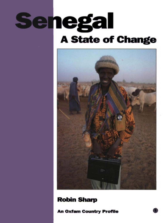# **Senegal A State of Change**



### **Robin Sharp**

**An Oxfam Country Profile**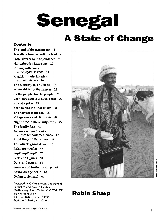## Senegal **A State of Change**

#### **Contents**

The land of the setting sun 3 Travellers from an antique land 6 From slavery to independence 7 Nationhood: a false start 12 Coping with crisis ... *senegalaisement* 14 Magicians, missionaries, and *marabouts* 16 The economy in a nutshell 18 When aid is not the answer 22 By the people, for the people 23 Cash-cropping: a vicious circle 26 Rice at a price 29 'Our wealth is our animals' 31 The harvest of the sea 36 Village roots and city lights 40 Night-time in the shanty-town 43 The family first 44 Schools without books, clinics without medicines 47 Rumblings of discontent 49 The wheels grind slower 51 Relax for *mbalax 54* Sopi! Sopi! Sopi! 57 Facts and figures 60 Dates and events 61 Sources and further reading 63 Acknowledgements 63 Oxfam in Senegal 64

Designed by Oxfam Design Department Published and printed by Oxfam, 274 Banbury Road, Oxford OX2 7DZ, UK ISBN 0 85598 283 7 © Oxfam (UK & Ireland) 1994 Registered charity no. 202918



## **Robin Sharp**